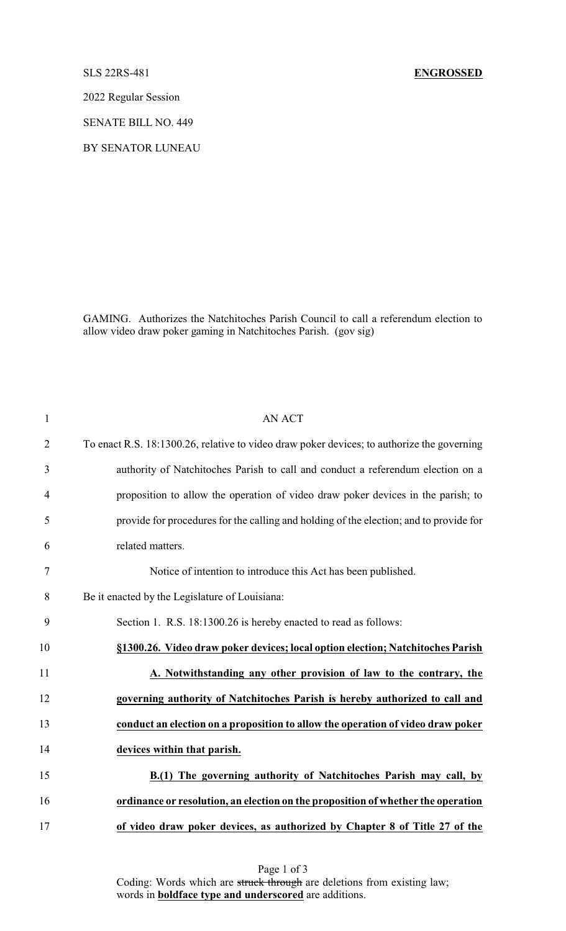## SLS 22RS-481 **ENGROSSED**

2022 Regular Session

SENATE BILL NO. 449

BY SENATOR LUNEAU

GAMING. Authorizes the Natchitoches Parish Council to call a referendum election to allow video draw poker gaming in Natchitoches Parish. (gov sig)

| $\mathbf{1}$   | <b>AN ACT</b>                                                                              |
|----------------|--------------------------------------------------------------------------------------------|
| $\overline{2}$ | To enact R.S. 18:1300.26, relative to video draw poker devices; to authorize the governing |
| 3              | authority of Natchitoches Parish to call and conduct a referendum election on a            |
| 4              | proposition to allow the operation of video draw poker devices in the parish; to           |
| 5              | provide for procedures for the calling and holding of the election; and to provide for     |
| 6              | related matters.                                                                           |
| $\tau$         | Notice of intention to introduce this Act has been published.                              |
| 8              | Be it enacted by the Legislature of Louisiana:                                             |
| 9              | Section 1. R.S. 18:1300.26 is hereby enacted to read as follows:                           |
| 10             | §1300.26. Video draw poker devices; local option election; Natchitoches Parish             |
| 11             | A. Notwithstanding any other provision of law to the contrary, the                         |
| 12             | governing authority of Natchitoches Parish is hereby authorized to call and                |
| 13             | conduct an election on a proposition to allow the operation of video draw poker            |
| 14             | devices within that parish.                                                                |
| 15             | B.(1) The governing authority of Natchitoches Parish may call, by                          |
| 16             | ordinance or resolution, an election on the proposition of whether the operation           |
| 17             | of video draw poker devices, as authorized by Chapter 8 of Title 27 of the                 |

Page 1 of 3 Coding: Words which are struck through are deletions from existing law; words in **boldface type and underscored** are additions.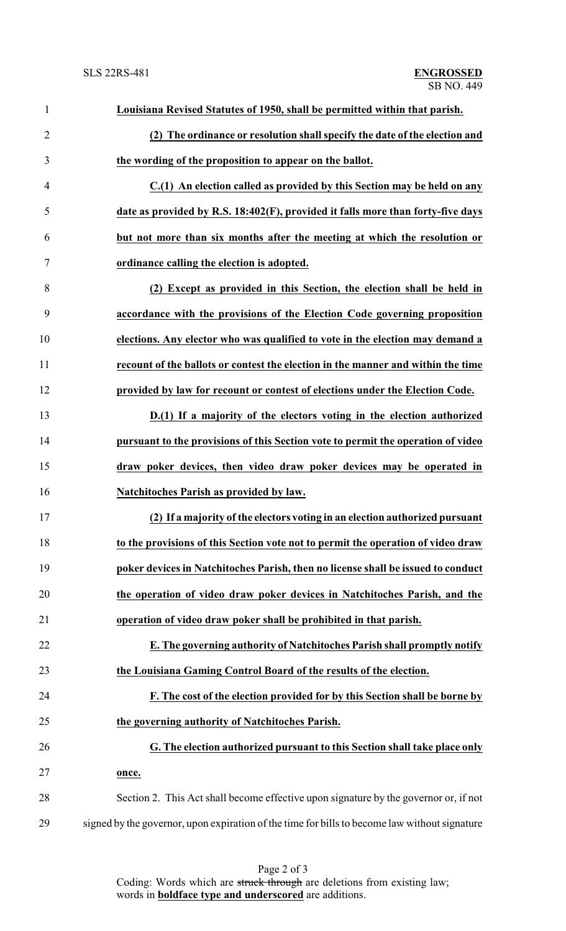| $\mathbf{1}$   | Louisiana Revised Statutes of 1950, shall be permitted within that parish.                    |
|----------------|-----------------------------------------------------------------------------------------------|
| $\overline{2}$ | (2) The ordinance or resolution shall specify the date of the election and                    |
| 3              | the wording of the proposition to appear on the ballot.                                       |
| $\overline{4}$ | C.(1) An election called as provided by this Section may be held on any                       |
| 5              | date as provided by R.S. 18:402(F), provided it falls more than forty-five days               |
| 6              | but not more than six months after the meeting at which the resolution or                     |
| $\tau$         | ordinance calling the election is adopted.                                                    |
| 8              | (2) Except as provided in this Section, the election shall be held in                         |
| 9              | accordance with the provisions of the Election Code governing proposition                     |
| 10             | elections. Any elector who was qualified to vote in the election may demand a                 |
| 11             | recount of the ballots or contest the election in the manner and within the time              |
| 12             | provided by law for recount or contest of elections under the Election Code.                  |
| 13             | D.(1) If a majority of the electors voting in the election authorized                         |
| 14             | pursuant to the provisions of this Section vote to permit the operation of video              |
| 15             | draw poker devices, then video draw poker devices may be operated in                          |
| 16             | Natchitoches Parish as provided by law.                                                       |
| 17             | (2) If a majority of the electors voting in an election authorized pursuant                   |
| 18             | to the provisions of this Section vote not to permit the operation of video draw              |
| 19             | poker devices in Natchitoches Parish, then no license shall be issued to conduct              |
| 20             | the operation of video draw poker devices in Natchitoches Parish, and the                     |
| 21             | operation of video draw poker shall be prohibited in that parish.                             |
| 22             | E. The governing authority of Natchitoches Parish shall promptly notify                       |
| 23             | the Louisiana Gaming Control Board of the results of the election.                            |
| 24             | F. The cost of the election provided for by this Section shall be borne by                    |
| 25             | the governing authority of Natchitoches Parish.                                               |
| 26             | G. The election authorized pursuant to this Section shall take place only                     |
| 27             | once.                                                                                         |
| 28             | Section 2. This Act shall become effective upon signature by the governor or, if not          |
| 29             | signed by the governor, upon expiration of the time for bills to become law without signature |

Page 2 of 3 Coding: Words which are struck through are deletions from existing law; words in **boldface type and underscored** are additions.